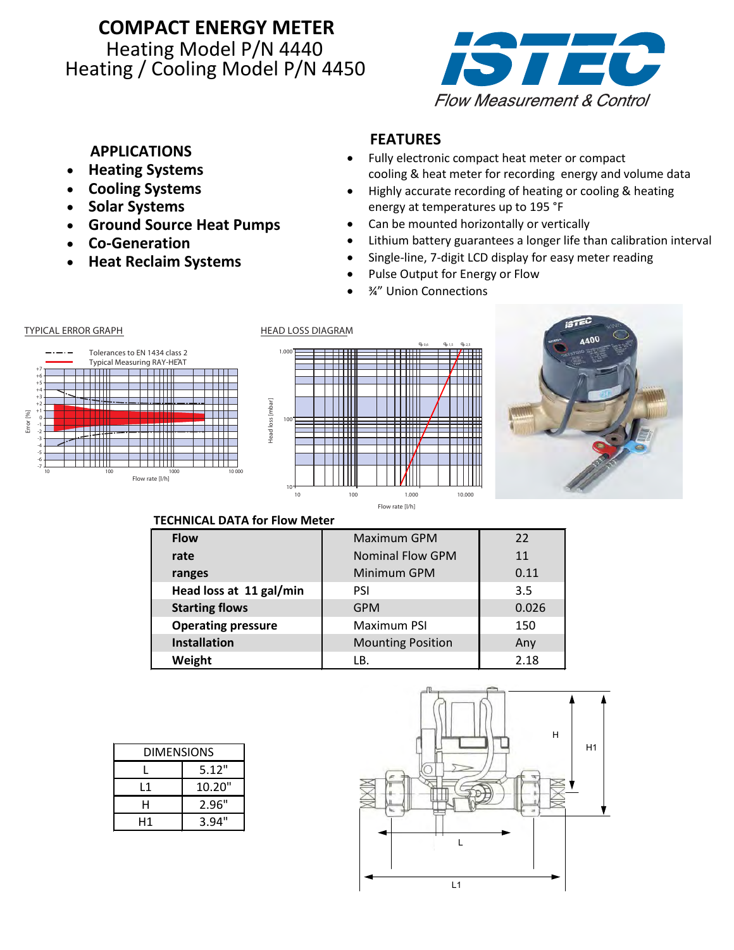## **COMPACT ENERGY METER** Heating Model P/N 4440 Heating / Cooling Model P/N 4450



### **APPLICATIONS**

- **Heating Systems**
- **Cooling Systems**
- **Solar Systems**
- **Ground Source Heat Pumps**
- **Co-Generation**
- **Heat Reclaim Systems**

## **FEATURES**

- Fully electronic compact heat meter or compact cooling & heat meter for recording energy and volume data
- Highly accurate recording of heating or cooling & heating energy at temperatures up to 195 °F
- Can be mounted horizontally or vertically
- Lithium battery guarantees a longer life than calibration interval
- Single-line, 7-digit LCD display for easy meter reading
- Pulse Output for Energy or Flow
- ¾" Union Connections







#### **TECHNICAL DATA for Flow Meter**

| <b>Flow</b>               | <b>Maximum GPM</b>       | 22    |
|---------------------------|--------------------------|-------|
| rate                      | <b>Nominal Flow GPM</b>  | 11    |
| ranges                    | Minimum GPM              | 0.11  |
| Head loss at 11 gal/min   | <b>PSI</b>               | 3.5   |
| <b>Starting flows</b>     | <b>GPM</b>               | 0.026 |
| <b>Operating pressure</b> | <b>Maximum PSI</b>       | 150   |
| <b>Installation</b>       | <b>Mounting Position</b> | Any   |
| Weight                    | LB.                      | 2.18  |

| DIMENSIONS |        |  |
|------------|--------|--|
|            | 5.12"  |  |
| l 1        | 10.20" |  |
| н          | 2.96"  |  |
| Н1         | 3.94"  |  |

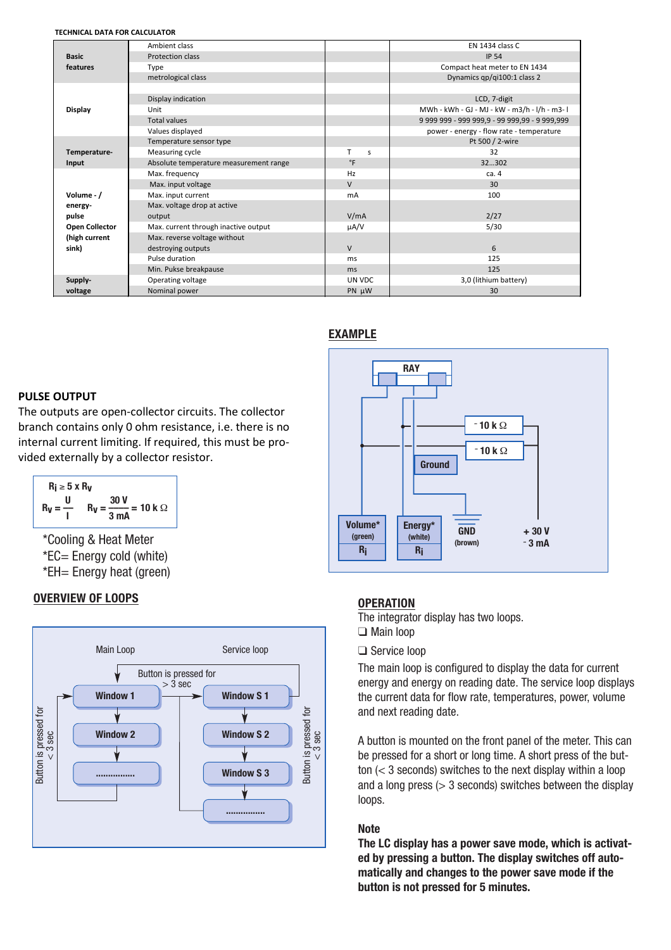#### **TECHNICAL DATA FOR CALCULATOR**

|                       | Ambient class                          |           | EN 1434 class C                               |
|-----------------------|----------------------------------------|-----------|-----------------------------------------------|
| <b>Basic</b>          | Protection class                       |           | <b>IP 54</b>                                  |
| features              | <b>Type</b>                            |           | Compact heat meter to EN 1434                 |
|                       | metrological class                     |           | Dynamics qp/qi100:1 class 2                   |
|                       |                                        |           |                                               |
| <b>Display</b>        | Display indication                     |           | LCD, 7-digit                                  |
|                       | Unit                                   |           | MWh - kWh - GJ - MJ - kW - m3/h - I/h - m3-1  |
|                       | <b>Total values</b>                    |           | 9 999 999 - 999 999,9 - 99 999,99 - 9 999,999 |
|                       | Values displayed                       |           | power - energy - flow rate - temperature      |
|                       | Temperature sensor type                |           | Pt 500 / 2-wire                               |
| Temperature-          | Measuring cycle                        | т<br>s    | 32                                            |
| Input                 | Absolute temperature measurement range | $\circ$ F | 32302                                         |
|                       | Max. frequency                         | Hz        | ca.4                                          |
|                       | Max. input voltage                     | V         | 30                                            |
| Volume - $/$          | Max. input current                     | mA        | 100                                           |
| energy-               | Max. voltage drop at active            |           |                                               |
| pulse                 | output                                 | V/mA      | 2/27                                          |
| <b>Open Collector</b> | Max. current through inactive output   | µA/V      | 5/30                                          |
| (high current         | Max. reverse voltage without           |           |                                               |
| sink)                 | destroying outputs                     | V         | 6                                             |
|                       | Pulse duration                         | ms        | 125                                           |
|                       | Min. Pukse breakpause                  | ms        | 125                                           |
| Supply-               | Operating voltage                      | UN VDC    | 3,0 (lithium battery)                         |
| voltage               | Nominal power                          | PN µW     | 30                                            |

#### **EXAMPLE**

#### **PULSE OUTPUT**

The outputs are open-collector circuits. The collector branch contains only 0 ohm resistance, i.e. there is no internal current limiting. If required, this must be provided externally by a collector resistor.

$$
R_{\mathbf{i}} \ge 5 \times R_{\mathbf{V}}
$$
  

$$
R_{\mathbf{V}} = \frac{U}{I}
$$
 
$$
R_{\mathbf{V}} = \frac{30 \text{ V}}{3 \text{ mA}} = 10 \text{ k } \Omega
$$

\*Cooling & Heat Meter \*EC= Energy cold (white) \*EH= Energy heat (green)

#### **OVERVIEW OF LOOPS**





#### **OPERATION U 30 V**

**Rugarish Extending Constraining The integrator display has two loops.** 

- ❑ Main loop
- ❑ Service loop

The main loop is configured to display the data for current energy and energy on reading date. The service loop displays the current data for flow rate, temperatures, power, volume and next reading date.

A button is mounted on the front panel of the meter. This can be pressed for a short or long time. A short press of the button (< 3 seconds) switches to the next display within a loop and a long press  $(> 3$  seconds) switches between the display loops.

#### **Note**

**The LC display has a power save mode, which is activated by pressing a button. The display switches off automatically and changes to the power save mode if the button is not pressed for 5 minutes.**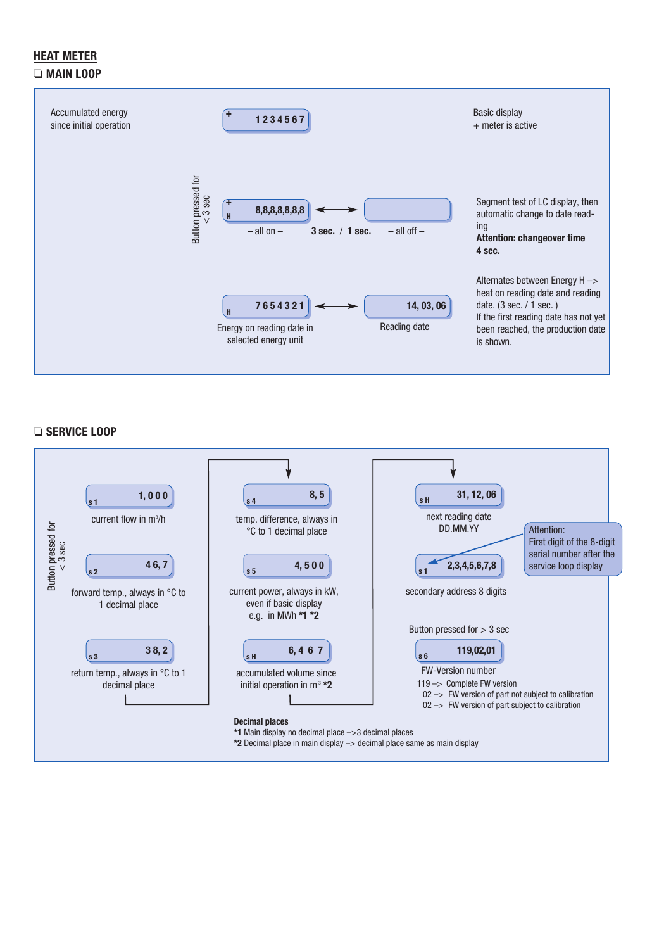#### **HEAT METER** ❏ **MAIN LOOP**



#### ❏ **SERVICE LOOP**